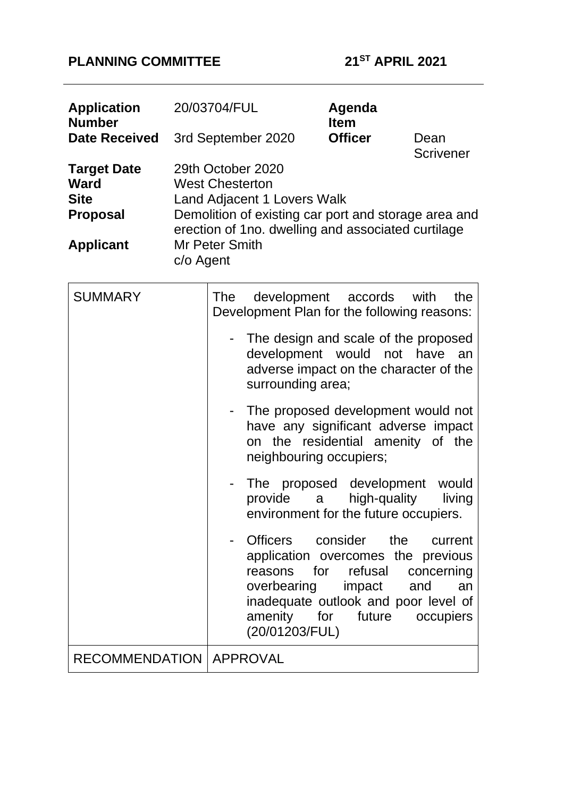# **PLANNING COMMITTEE 21ST APRIL 2021**

| <b>Application</b><br><b>Number</b>                                                     | 20/03704/FUL                                                                                                                                                                                                                                | Agenda<br><b>Item</b>                                                                                                                                                                    |                                                 |  |  |
|-----------------------------------------------------------------------------------------|---------------------------------------------------------------------------------------------------------------------------------------------------------------------------------------------------------------------------------------------|------------------------------------------------------------------------------------------------------------------------------------------------------------------------------------------|-------------------------------------------------|--|--|
| <b>Date Received</b>                                                                    | <b>Officer</b><br>3rd September 2020<br>Dean                                                                                                                                                                                                |                                                                                                                                                                                          |                                                 |  |  |
| <b>Target Date</b><br><b>Ward</b><br><b>Site</b><br><b>Proposal</b><br><b>Applicant</b> | <b>Scrivener</b><br>29th October 2020<br><b>West Chesterton</b><br>Land Adjacent 1 Lovers Walk<br>Demolition of existing car port and storage area and<br>erection of 1no. dwelling and associated curtilage<br>Mr Peter Smith<br>c/o Agent |                                                                                                                                                                                          |                                                 |  |  |
| <b>SUMMARY</b>                                                                          | The                                                                                                                                                                                                                                         | development<br>accords<br>Development Plan for the following reasons:                                                                                                                    | with<br>the                                     |  |  |
|                                                                                         |                                                                                                                                                                                                                                             | The design and scale of the proposed<br>development would not have<br>adverse impact on the character of the<br>surrounding area;                                                        | an                                              |  |  |
|                                                                                         |                                                                                                                                                                                                                                             | The proposed development would not<br>have any significant adverse impact<br>on the residential amenity of the<br>neighbouring occupiers;                                                |                                                 |  |  |
|                                                                                         | provide                                                                                                                                                                                                                                     | The proposed development<br>high-quality<br>a<br>environment for the future occupiers.                                                                                                   | would<br>living                                 |  |  |
|                                                                                         |                                                                                                                                                                                                                                             | Officers consider the<br>application overcomes the previous<br>reasons for refusal<br>overbearing impact<br>inadequate outlook and poor level of<br>amenity for future<br>(20/01203/FUL) | current<br>concerning<br>and<br>an<br>occupiers |  |  |
| RECOMMENDATION   APPROVAL                                                               |                                                                                                                                                                                                                                             |                                                                                                                                                                                          |                                                 |  |  |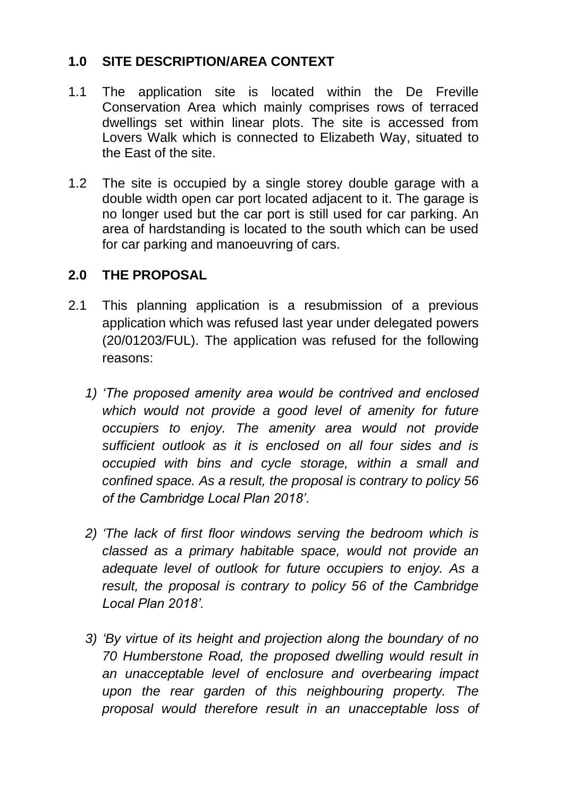# **1.0 SITE DESCRIPTION/AREA CONTEXT**

- 1.1 The application site is located within the De Freville Conservation Area which mainly comprises rows of terraced dwellings set within linear plots. The site is accessed from Lovers Walk which is connected to Elizabeth Way, situated to the East of the site.
- 1.2 The site is occupied by a single storey double garage with a double width open car port located adjacent to it. The garage is no longer used but the car port is still used for car parking. An area of hardstanding is located to the south which can be used for car parking and manoeuvring of cars.

### **2.0 THE PROPOSAL**

- 2.1 This planning application is a resubmission of a previous application which was refused last year under delegated powers (20/01203/FUL). The application was refused for the following reasons:
	- *1) 'The proposed amenity area would be contrived and enclosed which would not provide a good level of amenity for future occupiers to enjoy. The amenity area would not provide sufficient outlook as it is enclosed on all four sides and is occupied with bins and cycle storage, within a small and confined space. As a result, the proposal is contrary to policy 56 of the Cambridge Local Plan 2018'*.
	- *2) 'The lack of first floor windows serving the bedroom which is classed as a primary habitable space, would not provide an adequate level of outlook for future occupiers to enjoy. As a result, the proposal is contrary to policy 56 of the Cambridge Local Plan 2018'.*
	- *3) 'By virtue of its height and projection along the boundary of no 70 Humberstone Road, the proposed dwelling would result in an unacceptable level of enclosure and overbearing impact upon the rear garden of this neighbouring property. The proposal would therefore result in an unacceptable loss of*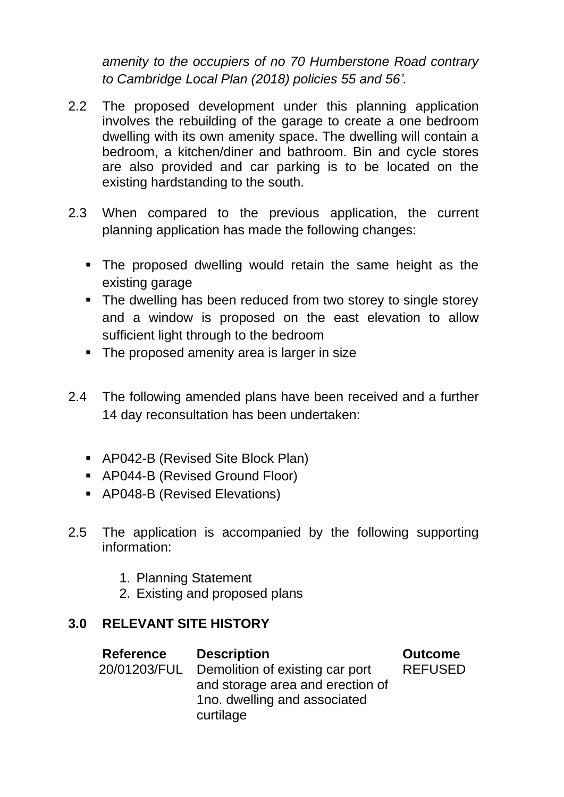*amenity to the occupiers of no 70 Humberstone Road contrary to Cambridge Local Plan (2018) policies 55 and 56'.* 

- 2.2 The proposed development under this planning application involves the rebuilding of the garage to create a one bedroom dwelling with its own amenity space. The dwelling will contain a bedroom, a kitchen/diner and bathroom. Bin and cycle stores are also provided and car parking is to be located on the existing hardstanding to the south.
- 2.3 When compared to the previous application, the current planning application has made the following changes:
	- The proposed dwelling would retain the same height as the existing garage
	- **•** The dwelling has been reduced from two storey to single storey and a window is proposed on the east elevation to allow sufficient light through to the bedroom
	- **•** The proposed amenity area is larger in size
- 2.4 The following amended plans have been received and a further 14 day reconsultation has been undertaken:
	- AP042-B (Revised Site Block Plan)
	- AP044-B (Revised Ground Floor)
	- AP048-B (Revised Elevations)
- 2.5 The application is accompanied by the following supporting information:
	- 1. Planning Statement
	- 2. Existing and proposed plans

# **3.0 RELEVANT SITE HISTORY**

| <b>Reference</b> | <b>Description</b>               | <b>Outcome</b> |
|------------------|----------------------------------|----------------|
| 20/01203/FUL     | Demolition of existing car port  | <b>REFUSED</b> |
|                  | and storage area and erection of |                |
|                  | 1no. dwelling and associated     |                |
|                  | curtilage                        |                |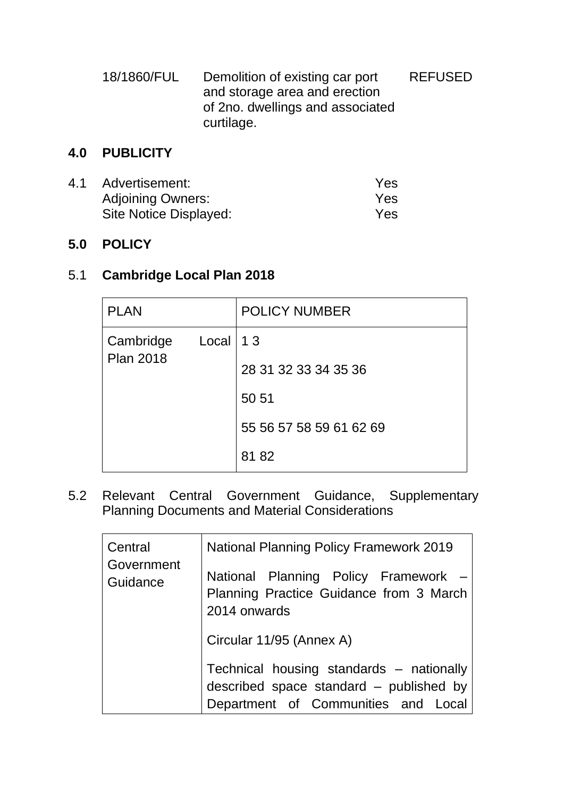| 18/1860/FUL | Demolition of existing car port  | <b>REFUSED</b> |
|-------------|----------------------------------|----------------|
|             | and storage area and erection    |                |
|             | of 2no. dwellings and associated |                |
|             | curtilage.                       |                |

# **4.0 PUBLICITY**

| 4.1 | Advertisement:           | Yes |
|-----|--------------------------|-----|
|     | <b>Adjoining Owners:</b> | Yes |
|     | Site Notice Displayed:   | Yes |

### **5.0 POLICY**

# 5.1 **Cambridge Local Plan 2018**

| <b>PLAN</b>                   |              | <b>POLICY NUMBER</b>    |
|-------------------------------|--------------|-------------------------|
| Cambridge<br><b>Plan 2018</b> | $Local$   13 |                         |
|                               |              | 28 31 32 33 34 35 36    |
|                               |              | 50 51                   |
|                               |              | 55 56 57 58 59 61 62 69 |
|                               |              | 81 82                   |

5.2 Relevant Central Government Guidance, Supplementary Planning Documents and Material Considerations

| Central                | <b>National Planning Policy Framework 2019</b>                                                                             |  |  |
|------------------------|----------------------------------------------------------------------------------------------------------------------------|--|--|
| Government<br>Guidance | National Planning Policy Framework -<br>Planning Practice Guidance from 3 March<br>2014 onwards                            |  |  |
|                        | Circular 11/95 (Annex A)                                                                                                   |  |  |
|                        | Technical housing standards – nationally<br>described space standard – published by<br>Department of Communities and Local |  |  |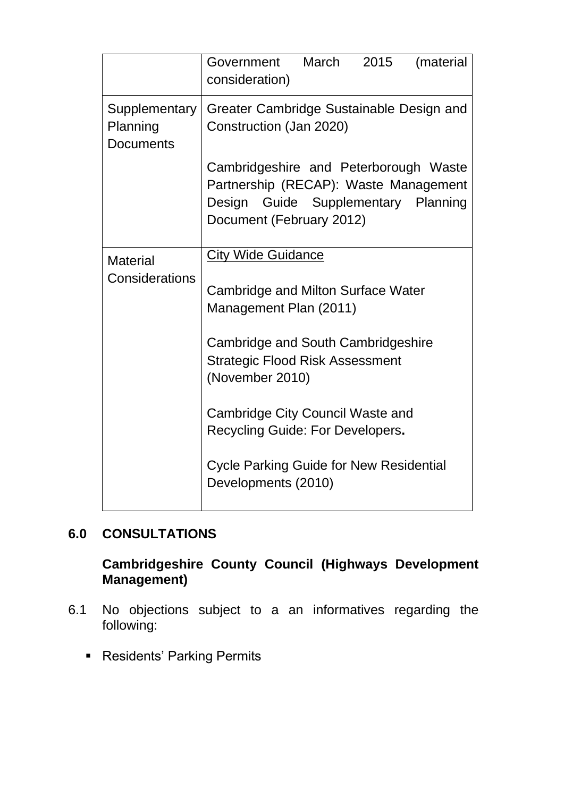|                                               | Government<br>consideration)                                                                                                                      | March | 2015 | (material |  |
|-----------------------------------------------|---------------------------------------------------------------------------------------------------------------------------------------------------|-------|------|-----------|--|
| Supplementary<br>Planning<br><b>Documents</b> | Greater Cambridge Sustainable Design and<br>Construction (Jan 2020)                                                                               |       |      |           |  |
|                                               | Cambridgeshire and Peterborough Waste<br>Partnership (RECAP): Waste Management<br>Design Guide Supplementary Planning<br>Document (February 2012) |       |      |           |  |
| <b>City Wide Guidance</b><br><b>Material</b>  |                                                                                                                                                   |       |      |           |  |
| Considerations                                | Cambridge and Milton Surface Water<br>Management Plan (2011)                                                                                      |       |      |           |  |
|                                               | Cambridge and South Cambridgeshire<br><b>Strategic Flood Risk Assessment</b><br>(November 2010)                                                   |       |      |           |  |
|                                               | Cambridge City Council Waste and<br>Recycling Guide: For Developers.                                                                              |       |      |           |  |
|                                               | <b>Cycle Parking Guide for New Residential</b><br>Developments (2010)                                                                             |       |      |           |  |

# **6.0 CONSULTATIONS**

# **Cambridgeshire County Council (Highways Development Management)**

- 6.1 No objections subject to a an informatives regarding the following:
	- Residents' Parking Permits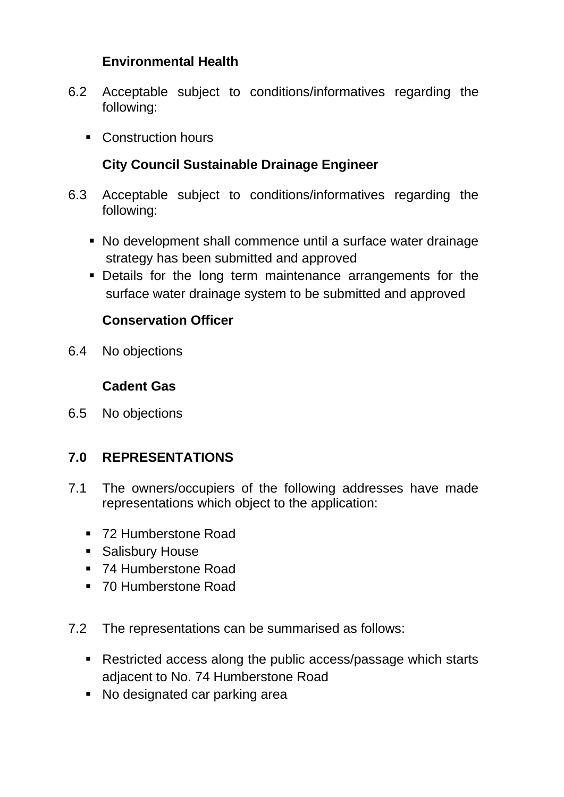# **Environmental Health**

- 6.2 Acceptable subject to conditions/informatives regarding the following:
	- Construction hours

# **City Council Sustainable Drainage Engineer**

- 6.3 Acceptable subject to conditions/informatives regarding the following:
	- No development shall commence until a surface water drainage strategy has been submitted and approved
	- **Details for the long term maintenance arrangements for the** surface water drainage system to be submitted and approved

# **Conservation Officer**

6.4 No objections

### **Cadent Gas**

6.5 No objections

# **7.0 REPRESENTATIONS**

- 7.1 The owners/occupiers of the following addresses have made representations which object to the application:
	- 72 Humberstone Road
	- Salisbury House
	- 74 Humberstone Road
	- 70 Humberstone Road
- 7.2 The representations can be summarised as follows:
	- Restricted access along the public access/passage which starts adjacent to No. 74 Humberstone Road
	- No designated car parking area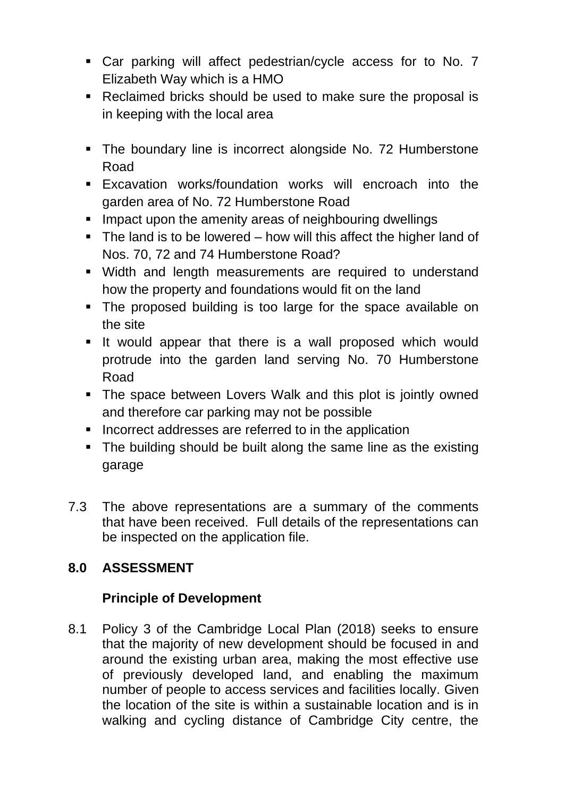- Car parking will affect pedestrian/cycle access for to No. 7 Elizabeth Way which is a HMO
- Reclaimed bricks should be used to make sure the proposal is in keeping with the local area
- The boundary line is incorrect alongside No. 72 Humberstone Road
- Excavation works/foundation works will encroach into the garden area of No. 72 Humberstone Road
- **Impact upon the amenity areas of neighbouring dwellings**
- The land is to be lowered how will this affect the higher land of Nos. 70, 72 and 74 Humberstone Road?
- Width and length measurements are required to understand how the property and foundations would fit on the land
- The proposed building is too large for the space available on the site
- It would appear that there is a wall proposed which would protrude into the garden land serving No. 70 Humberstone Road
- The space between Lovers Walk and this plot is jointly owned and therefore car parking may not be possible
- Incorrect addresses are referred to in the application
- The building should be built along the same line as the existing garage
- 7.3 The above representations are a summary of the comments that have been received. Full details of the representations can be inspected on the application file.

# **8.0 ASSESSMENT**

# **Principle of Development**

8.1 Policy 3 of the Cambridge Local Plan (2018) seeks to ensure that the majority of new development should be focused in and around the existing urban area, making the most effective use of previously developed land, and enabling the maximum number of people to access services and facilities locally. Given the location of the site is within a sustainable location and is in walking and cycling distance of Cambridge City centre, the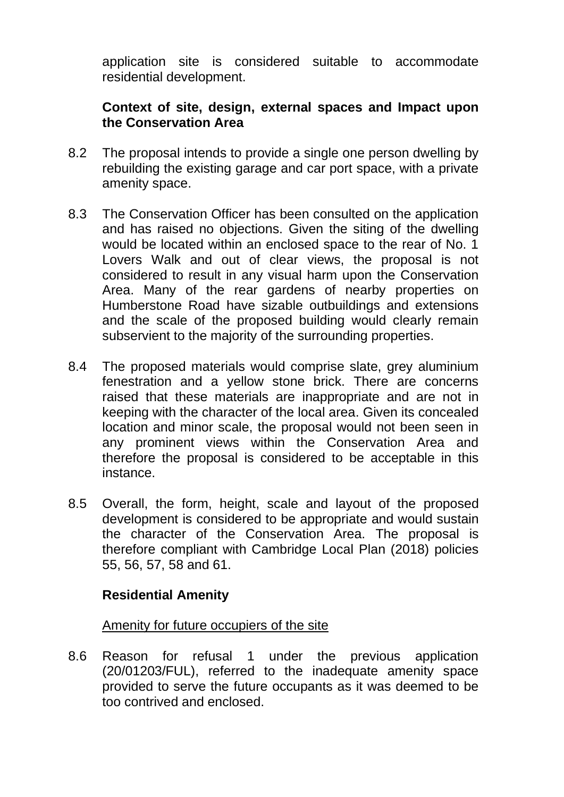application site is considered suitable to accommodate residential development.

### **Context of site, design, external spaces and Impact upon the Conservation Area**

- 8.2 The proposal intends to provide a single one person dwelling by rebuilding the existing garage and car port space, with a private amenity space.
- 8.3 The Conservation Officer has been consulted on the application and has raised no objections. Given the siting of the dwelling would be located within an enclosed space to the rear of No. 1 Lovers Walk and out of clear views, the proposal is not considered to result in any visual harm upon the Conservation Area. Many of the rear gardens of nearby properties on Humberstone Road have sizable outbuildings and extensions and the scale of the proposed building would clearly remain subservient to the majority of the surrounding properties.
- 8.4 The proposed materials would comprise slate, grey aluminium fenestration and a yellow stone brick. There are concerns raised that these materials are inappropriate and are not in keeping with the character of the local area. Given its concealed location and minor scale, the proposal would not been seen in any prominent views within the Conservation Area and therefore the proposal is considered to be acceptable in this instance.
- 8.5 Overall, the form, height, scale and layout of the proposed development is considered to be appropriate and would sustain the character of the Conservation Area. The proposal is therefore compliant with Cambridge Local Plan (2018) policies 55, 56, 57, 58 and 61.

### **Residential Amenity**

#### Amenity for future occupiers of the site

8.6 Reason for refusal 1 under the previous application (20/01203/FUL), referred to the inadequate amenity space provided to serve the future occupants as it was deemed to be too contrived and enclosed.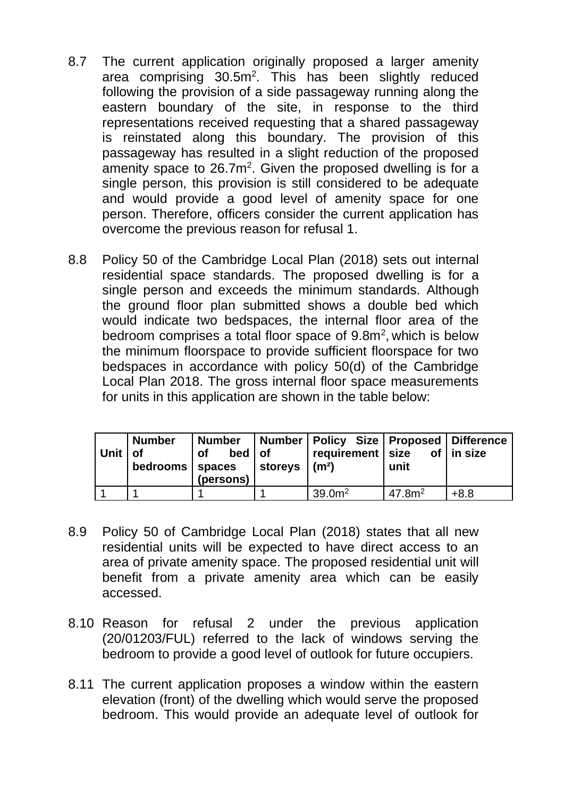- 8.7 The current application originally proposed a larger amenity area comprising 30.5m<sup>2</sup>. This has been slightly reduced following the provision of a side passageway running along the eastern boundary of the site, in response to the third representations received requesting that a shared passageway is reinstated along this boundary. The provision of this passageway has resulted in a slight reduction of the proposed amenity space to  $26.7m^2$ . Given the proposed dwelling is for a single person, this provision is still considered to be adequate and would provide a good level of amenity space for one person. Therefore, officers consider the current application has overcome the previous reason for refusal 1.
- 8.8 Policy 50 of the Cambridge Local Plan (2018) sets out internal residential space standards. The proposed dwelling is for a single person and exceeds the minimum standards. Although the ground floor plan submitted shows a double bed which would indicate two bedspaces, the internal floor area of the bedroom comprises a total floor space of  $9.8m^2$ , which is below the minimum floorspace to provide sufficient floorspace for two bedspaces in accordance with policy 50(d) of the Cambridge Local Plan 2018. The gross internal floor space measurements for units in this application are shown in the table below:

| Unit   of | <b>Number</b><br>bedrooms spaces | $bed$ of<br>of<br>(persons) | <b>storeys</b> | Number   Number   Policy Size   Proposed   Difference<br>$ $ requirement $ $ size of $ $ in size<br>$\mathsf{m}^2$ | unit              |        |
|-----------|----------------------------------|-----------------------------|----------------|--------------------------------------------------------------------------------------------------------------------|-------------------|--------|
|           |                                  |                             |                | 39.0 <sup>m²</sup>                                                                                                 | 47.8 <sup>2</sup> | $+8.8$ |

- 8.9 Policy 50 of Cambridge Local Plan (2018) states that all new residential units will be expected to have direct access to an area of private amenity space. The proposed residential unit will benefit from a private amenity area which can be easily accessed.
- 8.10 Reason for refusal 2 under the previous application (20/01203/FUL) referred to the lack of windows serving the bedroom to provide a good level of outlook for future occupiers.
- 8.11 The current application proposes a window within the eastern elevation (front) of the dwelling which would serve the proposed bedroom. This would provide an adequate level of outlook for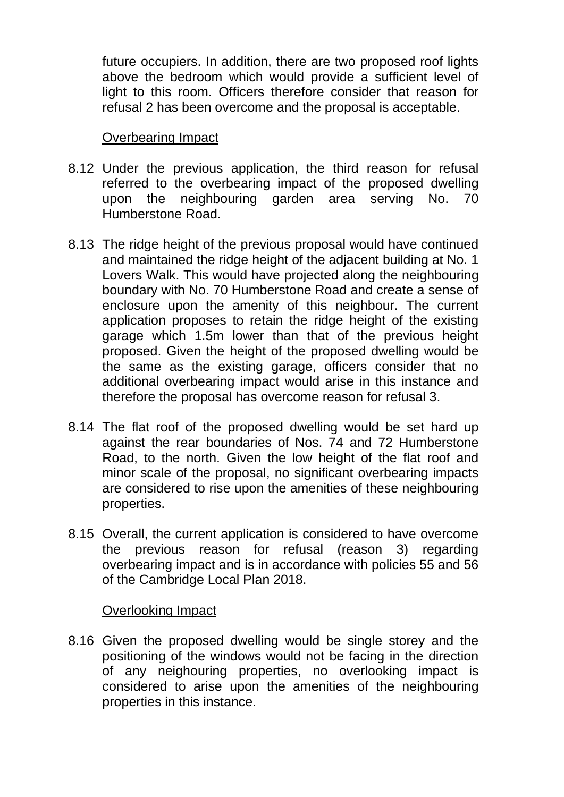future occupiers. In addition, there are two proposed roof lights above the bedroom which would provide a sufficient level of light to this room. Officers therefore consider that reason for refusal 2 has been overcome and the proposal is acceptable.

#### Overbearing Impact

- 8.12 Under the previous application, the third reason for refusal referred to the overbearing impact of the proposed dwelling upon the neighbouring garden area serving No. 70 Humberstone Road.
- 8.13 The ridge height of the previous proposal would have continued and maintained the ridge height of the adjacent building at No. 1 Lovers Walk. This would have projected along the neighbouring boundary with No. 70 Humberstone Road and create a sense of enclosure upon the amenity of this neighbour. The current application proposes to retain the ridge height of the existing garage which 1.5m lower than that of the previous height proposed. Given the height of the proposed dwelling would be the same as the existing garage, officers consider that no additional overbearing impact would arise in this instance and therefore the proposal has overcome reason for refusal 3.
- 8.14 The flat roof of the proposed dwelling would be set hard up against the rear boundaries of Nos. 74 and 72 Humberstone Road, to the north. Given the low height of the flat roof and minor scale of the proposal, no significant overbearing impacts are considered to rise upon the amenities of these neighbouring properties.
- 8.15 Overall, the current application is considered to have overcome the previous reason for refusal (reason 3) regarding overbearing impact and is in accordance with policies 55 and 56 of the Cambridge Local Plan 2018.

#### Overlooking Impact

8.16 Given the proposed dwelling would be single storey and the positioning of the windows would not be facing in the direction of any neighouring properties, no overlooking impact is considered to arise upon the amenities of the neighbouring properties in this instance.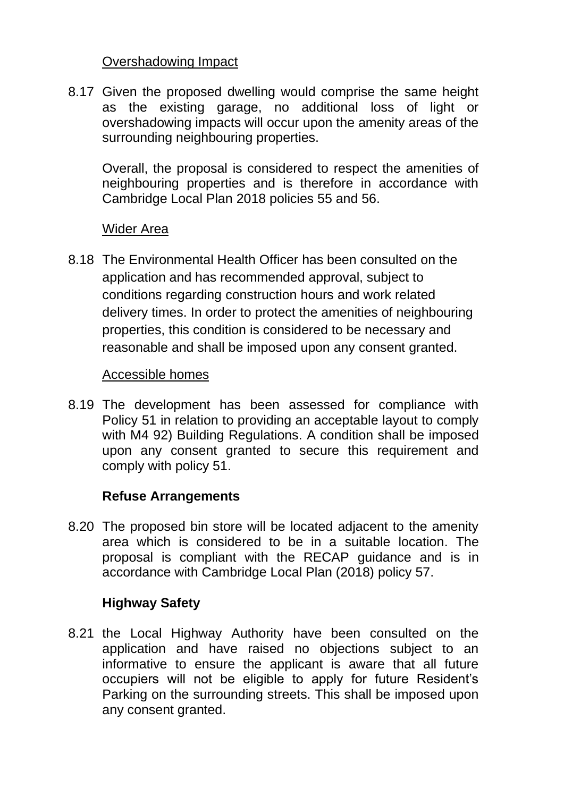### Overshadowing Impact

8.17 Given the proposed dwelling would comprise the same height as the existing garage, no additional loss of light or overshadowing impacts will occur upon the amenity areas of the surrounding neighbouring properties.

Overall, the proposal is considered to respect the amenities of neighbouring properties and is therefore in accordance with Cambridge Local Plan 2018 policies 55 and 56.

### Wider Area

8.18 The Environmental Health Officer has been consulted on the application and has recommended approval, subject to conditions regarding construction hours and work related delivery times. In order to protect the amenities of neighbouring properties, this condition is considered to be necessary and reasonable and shall be imposed upon any consent granted.

### Accessible homes

8.19 The development has been assessed for compliance with Policy 51 in relation to providing an acceptable layout to comply with M4 92) Building Regulations. A condition shall be imposed upon any consent granted to secure this requirement and comply with policy 51.

### **Refuse Arrangements**

8.20 The proposed bin store will be located adjacent to the amenity area which is considered to be in a suitable location. The proposal is compliant with the RECAP guidance and is in accordance with Cambridge Local Plan (2018) policy 57.

### **Highway Safety**

8.21 the Local Highway Authority have been consulted on the application and have raised no objections subject to an informative to ensure the applicant is aware that all future occupiers will not be eligible to apply for future Resident's Parking on the surrounding streets. This shall be imposed upon any consent granted.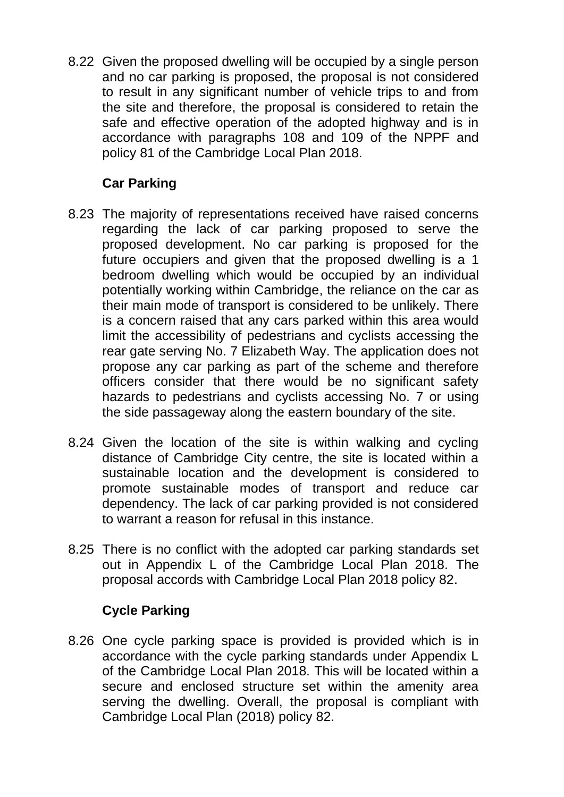8.22 Given the proposed dwelling will be occupied by a single person and no car parking is proposed, the proposal is not considered to result in any significant number of vehicle trips to and from the site and therefore, the proposal is considered to retain the safe and effective operation of the adopted highway and is in accordance with paragraphs 108 and 109 of the NPPF and policy 81 of the Cambridge Local Plan 2018.

# **Car Parking**

- 8.23 The majority of representations received have raised concerns regarding the lack of car parking proposed to serve the proposed development. No car parking is proposed for the future occupiers and given that the proposed dwelling is a 1 bedroom dwelling which would be occupied by an individual potentially working within Cambridge, the reliance on the car as their main mode of transport is considered to be unlikely. There is a concern raised that any cars parked within this area would limit the accessibility of pedestrians and cyclists accessing the rear gate serving No. 7 Elizabeth Way. The application does not propose any car parking as part of the scheme and therefore officers consider that there would be no significant safety hazards to pedestrians and cyclists accessing No. 7 or using the side passageway along the eastern boundary of the site.
- 8.24 Given the location of the site is within walking and cycling distance of Cambridge City centre, the site is located within a sustainable location and the development is considered to promote sustainable modes of transport and reduce car dependency. The lack of car parking provided is not considered to warrant a reason for refusal in this instance.
- 8.25 There is no conflict with the adopted car parking standards set out in Appendix L of the Cambridge Local Plan 2018. The proposal accords with Cambridge Local Plan 2018 policy 82.

# **Cycle Parking**

8.26 One cycle parking space is provided is provided which is in accordance with the cycle parking standards under Appendix L of the Cambridge Local Plan 2018. This will be located within a secure and enclosed structure set within the amenity area serving the dwelling. Overall, the proposal is compliant with Cambridge Local Plan (2018) policy 82.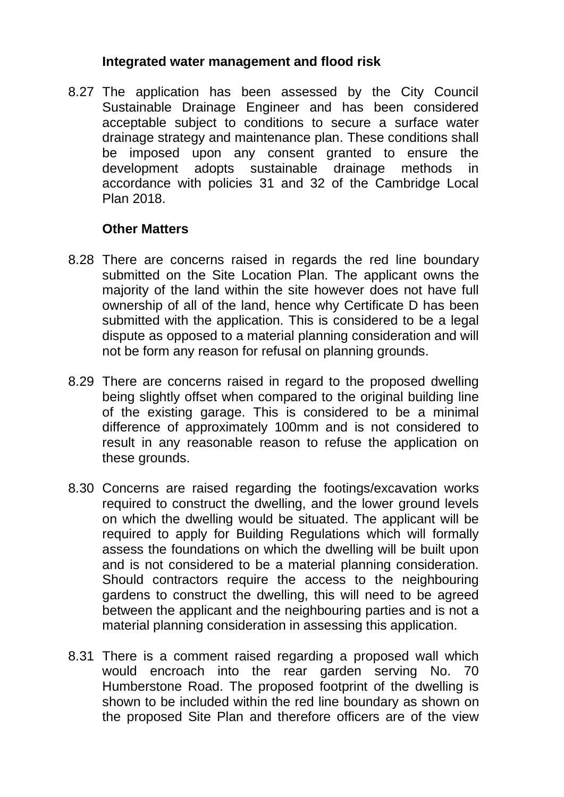### **Integrated water management and flood risk**

8.27 The application has been assessed by the City Council Sustainable Drainage Engineer and has been considered acceptable subject to conditions to secure a surface water drainage strategy and maintenance plan. These conditions shall be imposed upon any consent granted to ensure the development adopts sustainable drainage methods in accordance with policies 31 and 32 of the Cambridge Local Plan 2018.

### **Other Matters**

- 8.28 There are concerns raised in regards the red line boundary submitted on the Site Location Plan. The applicant owns the majority of the land within the site however does not have full ownership of all of the land, hence why Certificate D has been submitted with the application. This is considered to be a legal dispute as opposed to a material planning consideration and will not be form any reason for refusal on planning grounds.
- 8.29 There are concerns raised in regard to the proposed dwelling being slightly offset when compared to the original building line of the existing garage. This is considered to be a minimal difference of approximately 100mm and is not considered to result in any reasonable reason to refuse the application on these grounds.
- 8.30 Concerns are raised regarding the footings/excavation works required to construct the dwelling, and the lower ground levels on which the dwelling would be situated. The applicant will be required to apply for Building Regulations which will formally assess the foundations on which the dwelling will be built upon and is not considered to be a material planning consideration. Should contractors require the access to the neighbouring gardens to construct the dwelling, this will need to be agreed between the applicant and the neighbouring parties and is not a material planning consideration in assessing this application.
- 8.31 There is a comment raised regarding a proposed wall which would encroach into the rear garden serving No. 70 Humberstone Road. The proposed footprint of the dwelling is shown to be included within the red line boundary as shown on the proposed Site Plan and therefore officers are of the view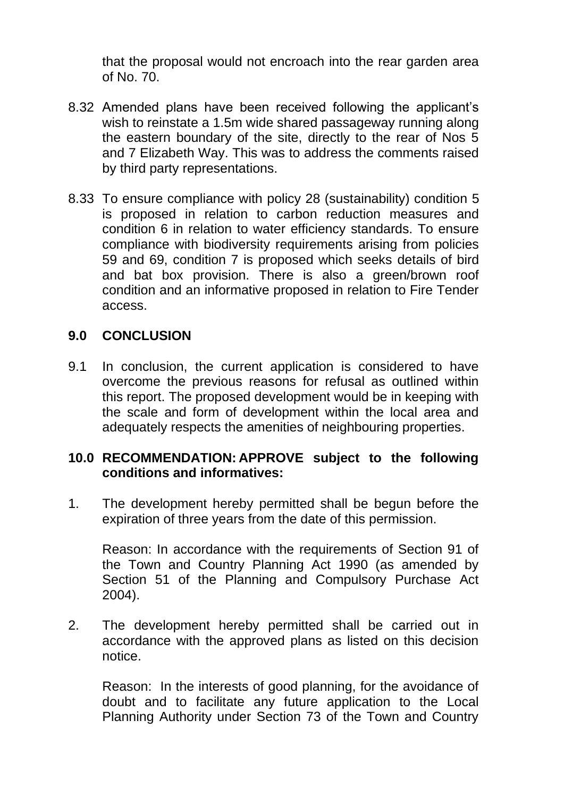that the proposal would not encroach into the rear garden area of No. 70.

- 8.32 Amended plans have been received following the applicant's wish to reinstate a 1.5m wide shared passageway running along the eastern boundary of the site, directly to the rear of Nos 5 and 7 Elizabeth Way. This was to address the comments raised by third party representations.
- 8.33 To ensure compliance with policy 28 (sustainability) condition 5 is proposed in relation to carbon reduction measures and condition 6 in relation to water efficiency standards. To ensure compliance with biodiversity requirements arising from policies 59 and 69, condition 7 is proposed which seeks details of bird and bat box provision. There is also a green/brown roof condition and an informative proposed in relation to Fire Tender access.

### **9.0 CONCLUSION**

9.1 In conclusion, the current application is considered to have overcome the previous reasons for refusal as outlined within this report. The proposed development would be in keeping with the scale and form of development within the local area and adequately respects the amenities of neighbouring properties.

#### **10.0 RECOMMENDATION: APPROVE subject to the following conditions and informatives:**

1. The development hereby permitted shall be begun before the expiration of three years from the date of this permission.

Reason: In accordance with the requirements of Section 91 of the Town and Country Planning Act 1990 (as amended by Section 51 of the Planning and Compulsory Purchase Act 2004).

2. The development hereby permitted shall be carried out in accordance with the approved plans as listed on this decision notice.

Reason: In the interests of good planning, for the avoidance of doubt and to facilitate any future application to the Local Planning Authority under Section 73 of the Town and Country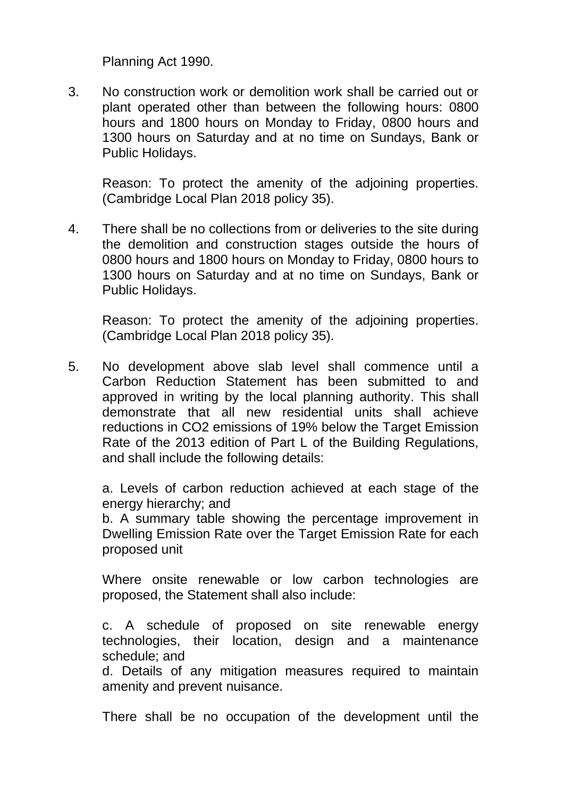Planning Act 1990.

3. No construction work or demolition work shall be carried out or plant operated other than between the following hours: 0800 hours and 1800 hours on Monday to Friday, 0800 hours and 1300 hours on Saturday and at no time on Sundays, Bank or Public Holidays.

Reason: To protect the amenity of the adjoining properties. (Cambridge Local Plan 2018 policy 35).

4. There shall be no collections from or deliveries to the site during the demolition and construction stages outside the hours of 0800 hours and 1800 hours on Monday to Friday, 0800 hours to 1300 hours on Saturday and at no time on Sundays, Bank or Public Holidays.

Reason: To protect the amenity of the adjoining properties. (Cambridge Local Plan 2018 policy 35).

5. No development above slab level shall commence until a Carbon Reduction Statement has been submitted to and approved in writing by the local planning authority. This shall demonstrate that all new residential units shall achieve reductions in CO2 emissions of 19% below the Target Emission Rate of the 2013 edition of Part L of the Building Regulations, and shall include the following details:

a. Levels of carbon reduction achieved at each stage of the energy hierarchy; and

b. A summary table showing the percentage improvement in Dwelling Emission Rate over the Target Emission Rate for each proposed unit

Where onsite renewable or low carbon technologies are proposed, the Statement shall also include:

c. A schedule of proposed on site renewable energy technologies, their location, design and a maintenance schedule; and

d. Details of any mitigation measures required to maintain amenity and prevent nuisance.

There shall be no occupation of the development until the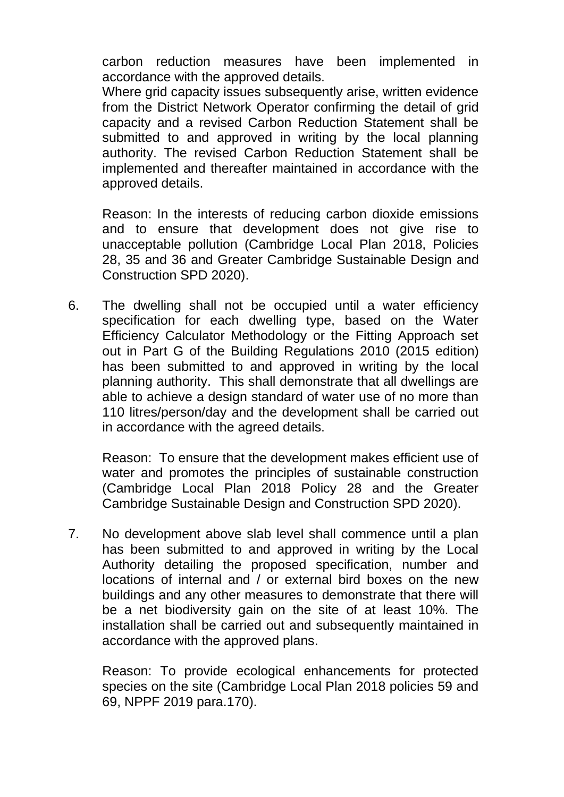carbon reduction measures have been implemented in accordance with the approved details.

Where grid capacity issues subsequently arise, written evidence from the District Network Operator confirming the detail of grid capacity and a revised Carbon Reduction Statement shall be submitted to and approved in writing by the local planning authority. The revised Carbon Reduction Statement shall be implemented and thereafter maintained in accordance with the approved details.

Reason: In the interests of reducing carbon dioxide emissions and to ensure that development does not give rise to unacceptable pollution (Cambridge Local Plan 2018, Policies 28, 35 and 36 and Greater Cambridge Sustainable Design and Construction SPD 2020).

6. The dwelling shall not be occupied until a water efficiency specification for each dwelling type, based on the Water Efficiency Calculator Methodology or the Fitting Approach set out in Part G of the Building Regulations 2010 (2015 edition) has been submitted to and approved in writing by the local planning authority. This shall demonstrate that all dwellings are able to achieve a design standard of water use of no more than 110 litres/person/day and the development shall be carried out in accordance with the agreed details.

Reason: To ensure that the development makes efficient use of water and promotes the principles of sustainable construction (Cambridge Local Plan 2018 Policy 28 and the Greater Cambridge Sustainable Design and Construction SPD 2020).

7. No development above slab level shall commence until a plan has been submitted to and approved in writing by the Local Authority detailing the proposed specification, number and locations of internal and / or external bird boxes on the new buildings and any other measures to demonstrate that there will be a net biodiversity gain on the site of at least 10%. The installation shall be carried out and subsequently maintained in accordance with the approved plans.

Reason: To provide ecological enhancements for protected species on the site (Cambridge Local Plan 2018 policies 59 and 69, NPPF 2019 para.170).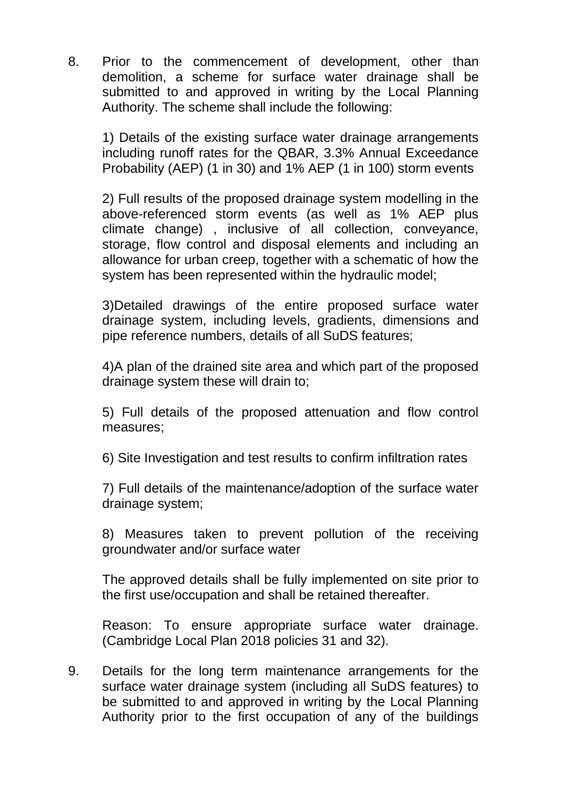8. Prior to the commencement of development, other than demolition, a scheme for surface water drainage shall be submitted to and approved in writing by the Local Planning Authority. The scheme shall include the following:

1) Details of the existing surface water drainage arrangements including runoff rates for the QBAR, 3.3% Annual Exceedance Probability (AEP) (1 in 30) and 1% AEP (1 in 100) storm events

2) Full results of the proposed drainage system modelling in the above-referenced storm events (as well as 1% AEP plus climate change) , inclusive of all collection, conveyance, storage, flow control and disposal elements and including an allowance for urban creep, together with a schematic of how the system has been represented within the hydraulic model;

3)Detailed drawings of the entire proposed surface water drainage system, including levels, gradients, dimensions and pipe reference numbers, details of all SuDS features;

4)A plan of the drained site area and which part of the proposed drainage system these will drain to;

5) Full details of the proposed attenuation and flow control measures;

6) Site Investigation and test results to confirm infiltration rates

7) Full details of the maintenance/adoption of the surface water drainage system;

8) Measures taken to prevent pollution of the receiving groundwater and/or surface water

The approved details shall be fully implemented on site prior to the first use/occupation and shall be retained thereafter.

Reason: To ensure appropriate surface water drainage. (Cambridge Local Plan 2018 policies 31 and 32).

9. Details for the long term maintenance arrangements for the surface water drainage system (including all SuDS features) to be submitted to and approved in writing by the Local Planning Authority prior to the first occupation of any of the buildings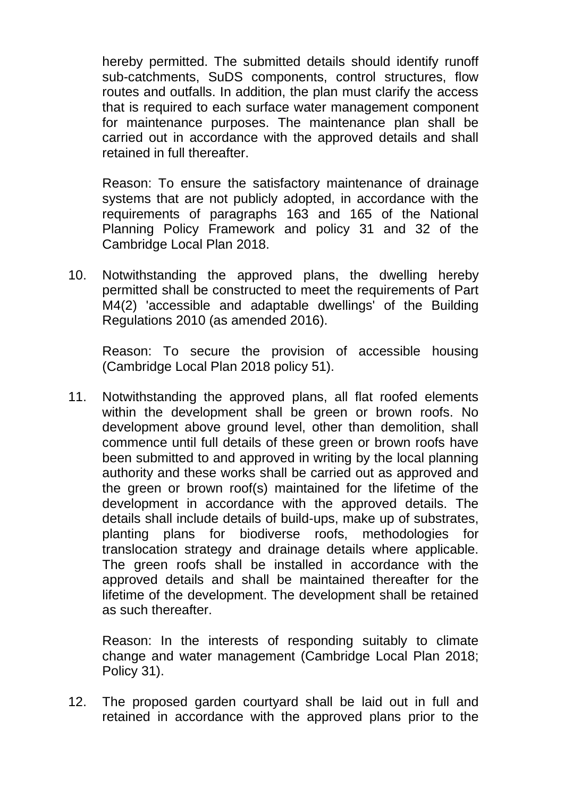hereby permitted. The submitted details should identify runoff sub-catchments, SuDS components, control structures, flow routes and outfalls. In addition, the plan must clarify the access that is required to each surface water management component for maintenance purposes. The maintenance plan shall be carried out in accordance with the approved details and shall retained in full thereafter.

Reason: To ensure the satisfactory maintenance of drainage systems that are not publicly adopted, in accordance with the requirements of paragraphs 163 and 165 of the National Planning Policy Framework and policy 31 and 32 of the Cambridge Local Plan 2018.

10. Notwithstanding the approved plans, the dwelling hereby permitted shall be constructed to meet the requirements of Part M4(2) 'accessible and adaptable dwellings' of the Building Regulations 2010 (as amended 2016).

Reason: To secure the provision of accessible housing (Cambridge Local Plan 2018 policy 51).

11. Notwithstanding the approved plans, all flat roofed elements within the development shall be green or brown roofs. No development above ground level, other than demolition, shall commence until full details of these green or brown roofs have been submitted to and approved in writing by the local planning authority and these works shall be carried out as approved and the green or brown roof(s) maintained for the lifetime of the development in accordance with the approved details. The details shall include details of build-ups, make up of substrates, planting plans for biodiverse roofs, methodologies for translocation strategy and drainage details where applicable. The green roofs shall be installed in accordance with the approved details and shall be maintained thereafter for the lifetime of the development. The development shall be retained as such thereafter.

Reason: In the interests of responding suitably to climate change and water management (Cambridge Local Plan 2018; Policy 31).

12. The proposed garden courtyard shall be laid out in full and retained in accordance with the approved plans prior to the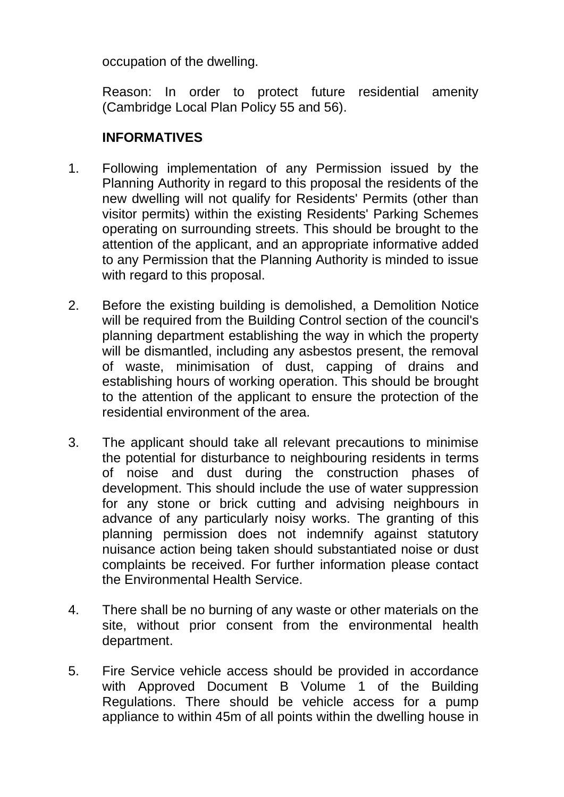occupation of the dwelling.

Reason: In order to protect future residential amenity (Cambridge Local Plan Policy 55 and 56).

# **INFORMATIVES**

- 1. Following implementation of any Permission issued by the Planning Authority in regard to this proposal the residents of the new dwelling will not qualify for Residents' Permits (other than visitor permits) within the existing Residents' Parking Schemes operating on surrounding streets. This should be brought to the attention of the applicant, and an appropriate informative added to any Permission that the Planning Authority is minded to issue with regard to this proposal.
- 2. Before the existing building is demolished, a Demolition Notice will be required from the Building Control section of the council's planning department establishing the way in which the property will be dismantled, including any asbestos present, the removal of waste, minimisation of dust, capping of drains and establishing hours of working operation. This should be brought to the attention of the applicant to ensure the protection of the residential environment of the area.
- 3. The applicant should take all relevant precautions to minimise the potential for disturbance to neighbouring residents in terms of noise and dust during the construction phases of development. This should include the use of water suppression for any stone or brick cutting and advising neighbours in advance of any particularly noisy works. The granting of this planning permission does not indemnify against statutory nuisance action being taken should substantiated noise or dust complaints be received. For further information please contact the Environmental Health Service.
- 4. There shall be no burning of any waste or other materials on the site, without prior consent from the environmental health department.
- 5. Fire Service vehicle access should be provided in accordance with Approved Document B Volume 1 of the Building Regulations. There should be vehicle access for a pump appliance to within 45m of all points within the dwelling house in